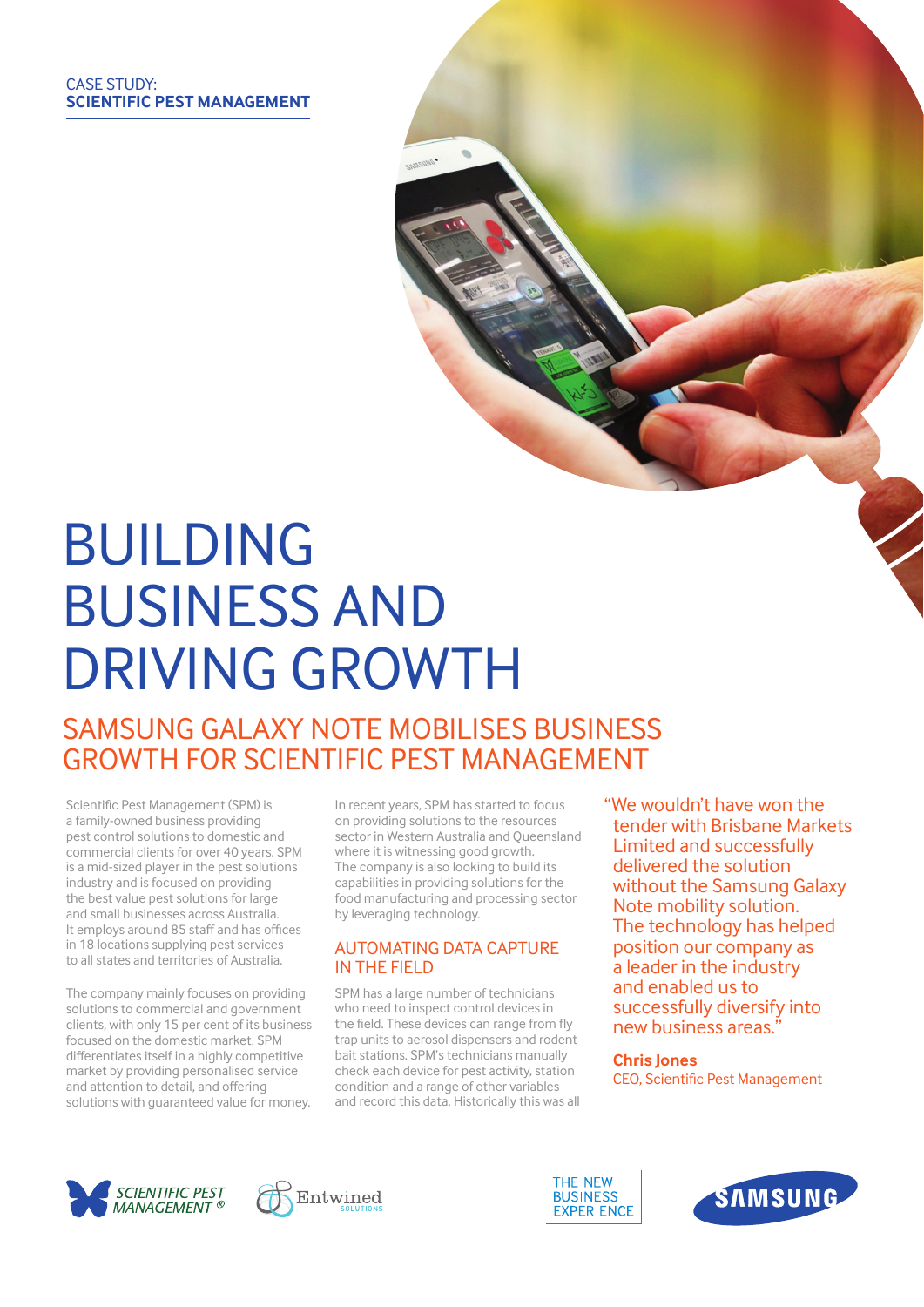# **BUILDING** business and driving growth

# SAMSUNG GALAXY NOTE MOBILISES BUSINESS growth for Scientific Pest Management

Scientific Pest Management (SPM) is a family-owned business providing pest control solutions to domestic and commercial clients for over 40 years. SPM is a mid-sized player in the pest solutions industry and is focused on providing the best value pest solutions for large and small businesses across Australia. It employs around 85 staff and has offices in 18 locations supplying pest services to all states and territories of Australia.

The company mainly focuses on providing solutions to commercial and government clients, with only 15 per cent of its business focused on the domestic market. SPM differentiates itself in a highly competitive market by providing personalised service and attention to detail, and offering solutions with guaranteed value for money.

In recent years, SPM has started to focus on providing solutions to the resources sector in Western Australia and Queensland where it is witnessing good growth. The company is also looking to build its capabilities in providing solutions for the food manufacturing and processing sector by leveraging technology.

# Automating data capture IN THE FIFLD

SPM has a large number of technicians who need to inspect control devices in the field. These devices can range from fly trap units to aerosol dispensers and rodent bait stations. SPM's technicians manually check each device for pest activity, station condition and a range of other variables and record this data. Historically this was all "We wouldn't have won the tender with Brisbane Markets Limited and successfully delivered the solution without the Samsung Galaxy Note mobility solution. The technology has helped position our company as a leader in the industry and enabled us to successfully diversify into new business areas."

#### **Chris Jones**

CEO, Scientific Pest Management